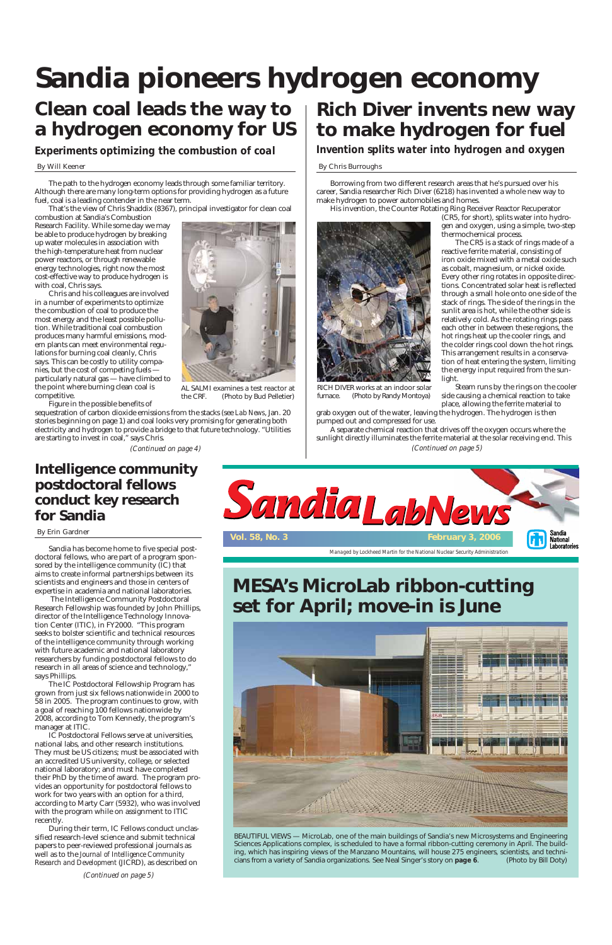*Managed by Lockheed Martin for the National Nuclear Security Administration*



# **Sandia pioneers hydrogen economy**

## **Clean coal leads the way to a hydrogen economy for US**

# **Rich Diver invents new way to make hydrogen for fuel**

*Experiments optimizing the combustion of coal Invention splits water into hydrogen and oxygen* 

## By Will Keener By Chris Burroughs

The path to the hydrogen economy leads through some familiar territory. Although there are many long-term options for providing hydrogen as a future fuel, coal is a leading contender in the near term.

That's the view of Chris Shaddix (8367), principal investigator for clean coal

combustion at Sandia's Combustion Research Facility. While some day we may be able to produce hydrogen by breaking up water molecules in association with the high-temperature heat from nuclear power reactors, or through renewable energy technologies, right now the most cost-effective way to produce hydrogen is with coal, Chris says.

Chris and his colleagues are involved in a number of experiments to optimize the combustion of coal to produce the most energy and the least possible pollution. While traditional coal combustion produces many harmful emissions, modern plants can meet environmental regulations for burning coal cleanly, Chris says. This can be costly to utility companies, but the cost of competing fuels particularly natural gas — have climbed to the point where burning clean coal is competitive.

Figure in the possible benefits of sequestration of carbon dioxide emissions from the stacks (see *Lab News*, Jan. 20 stories beginning on page 1) and coal looks very promising for generating both electricity and hydrogen to provide a bridge to that future technology. "Utilities

are starting to invest in coal," says Chris.

Borrowing from two different research areas that he's pursued over his career, Sandia researcher Rich Diver (6218) has invented a whole new way to make hydrogen to power automobiles and homes.

His invention, the Counter Rotating Ring Receiver Reactor Recuperator

(CR5, for short), splits water into hydrogen and oxygen, using a simple, two-step

thermochemical process.

The CR5 is a stack of rings made of a reactive ferrite material, consisting of iron oxide mixed with a metal oxide such as cobalt, magnesium, or nickel oxide. Every other ring rotates in opposite directions. Concentrated solar heat is reflected through a small hole onto one side of the stack of rings. The side of the rings in the sunlit area is hot, while the other side is relatively cold. As the rotating rings pass each other in between these regions, the hot rings heat up the cooler rings, and the colder rings cool down the hot rings. This arrangement results in a conservation of heat entering the system, limiting the energy input required from the sunlight.

Steam runs by the rings on the cooler side causing a chemical reaction to take place, allowing the ferrite material to

grab oxygen out of the water, leaving the hydrogen. The hydrogen is then pumped out and compressed for use.

AL SALMI examines a test reactor at the CRF. (Photo by Bud Pelletier)



RICH DIVER works at an indoor solar furnace. (Photo by Randy Montoya)

A separate chemical reaction that drives off the oxygen occurs where the sunlight directly illuminates the ferrite material at the solar receiving end. This *(Continued on page 4) (Continued on page 5)*

BEAUTIFUL VIEWS — MicroLab, one of the main buildings of Sandia's new Microsystems and Engineering Sciences Applications complex, is scheduled to have a formal ribbon-cutting ceremony in April. The building, which has inspiring views of the Manzano Mountains, will house 275 engineers, scientists, and technicians from a variety of Sandia organizations. See Neal Singer's story on **page 6**. (Photo by Bill Doty)

## **MESA's MicroLab ribbon-cutting set for April; move-in is June**



## **Intelligence community postdoctoral fellows conduct key research for Sandia**

Sandia has become home to five special postdoctoral fellows, who are part of a program sponsored by the intelligence community (IC) that aims to create informal partnerships between its scientists and engineers and those in centers of expertise in academia and national laboratories.

The Intelligence Community Postdoctoral Research Fellowship was founded by John Phillips, director of the Intelligence Technology Innovation Center (ITIC), in FY2000. "This program seeks to bolster scientific and technical resources of the intelligence community through working with future academic and national laboratory researchers by funding postdoctoral fellows to do research in all areas of science and technology," says Phillips.

The IC Postdoctoral Fellowship Program has grown from just six fellows nationwide in 2000 to 58 in 2005. The program continues to grow, with a goal of reaching 100 fellows nationwide by 2008, according to Tom Kennedy, the program's manager at ITIC. IC Postdoctoral Fellows serve at universities, national labs, and other research institutions. They must be US citizens; must be associated with an accredited US university, college, or selected national laboratory; and must have completed their PhD by the time of award. The program provides an opportunity for postdoctoral fellows to work for two years with an option for a third, according to Marty Carr (5932), who was involved with the program while on assignment to ITIC recently. During their term, IC Fellows conduct unclassified research-level science and submit technical papers to peer-reviewed professional journals as well as to the *Journal of Intelligence Community Research and Development* (JICRD), as described on

#### By Erin Gardner

*(Continued on page 5)*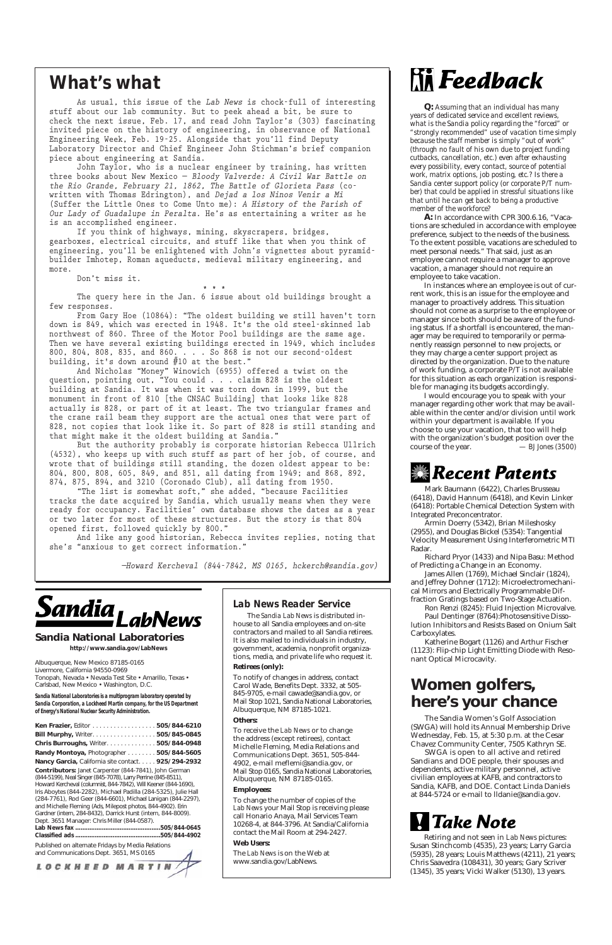**Sandia National Laboratories http://www.sandia.gov/LabNews**

Albuquerque, New Mexico 87185-0165 Livermore, California 94550-0969 Tonopah, Nevada • Nevada Test Site • Amarillo, Texas • Carlsbad, New Mexico • Washington, D.C.

*Sandia National Laboratories is a multiprogram laboratory operated by Sandia Corporation, a Lockheed Martin company, for the US Department of Energy's National Nuclear Security Administration.* 

| Ken Frazier, Editor 505/844-6210                   |  |
|----------------------------------------------------|--|
| <b>Bill Murphy, Writer505/845-0845</b>             |  |
| <b>Chris Burroughs, Writer 505/844-0948</b>        |  |
| Randy Montoya, Photographer 505/844-5605           |  |
| Nancy Garcia, California site contact 925/294-2932 |  |

**Contributors:** Janet Carpenter (844-7841), John German (844-5199), Neal Singer (845-7078), Larry Perrine (845-8511), Howard Kercheval (columnist, 844-7842), Will Keener (844-1690), Iris Aboytes (844-2282), Michael Padilla (284-5325), Julie Hall (284-7761), Rod Geer (844-6601), Michael Lanigan (844-2297), and Michelle Fleming (Ads, Milepost photos, 844-4902). Erin Gardner (intern, 284-8432), Darrick Hurst (intern, 844-8009). Dept. 3651 Manager: Chris Miller (844-0587). **Lab News fax ................................................505/844-0645 Classified ads ................................................505/844-4902**

Published on alternate Fridays by Media Relations and Communications Dept. 3651, MS 0165

LOCKHEED MARTIN

**As usual, this issue of the** *Lab News* **is chock-full of interesting stuff about our lab community. But to peek ahead a bit, be sure to check the next issue, Feb. 17, and read John Taylor's (303) fascinating invited piece on the history of engineering, in observance of National Engineering Week, Feb. 19-25. Alongside that you'll find Deputy Laboratory Director and Chief Engineer John Stichman's brief companion piece about engineering at Sandia.**

**John Taylor, who is a nuclear engineer by training, has written three books about New Mexico —** *Bloody Valverde: A Civil War Battle on the Rio Grande, February 21, 1862, The Battle of Glorieta Pass* **(cowritten with Thomas Edrington), and** *Dejad a los Ninos Venir a Mi* **(Suffer the Little Ones to Come Unto me):** *A History of the Parish of Our Lady of Guadalupe in Peralta.* **He's as entertaining a writer as he is an accomplished engineer.**

**If you think of highways, mining, skyscrapers, bridges, gearboxes, electrical circuits, and stuff like that when you think of engineering, you'll be enlightened with John's vignettes about pyramidbuilder Imhotep, Roman aqueducts, medieval military engineering, and more.**

**Don't miss it.**

**\* \* \***

**The query here in the Jan. 6 issue about old buildings brought a few responses.**

**From Gary Hoe (10864): "The oldest building we still haven't torn down is 849, which was erected in 1948. It's the old steel-skinned lab northwest of 860. Three of the Motor Pool buildings are the same age. Then we have several existing buildings erected in 1949, which includes 800, 804, 808, 835, and 860. . . . So 868 is not our second-oldest building, it's down around #10 at the best."**

**And Nicholas "Money" Winowich (6955) offered a twist on the question, pointing out, "You could . . . claim 828 is the oldest building at Sandia. It was when it was torn down in 1999, but the monument in front of 810 [the CNSAC Building] that looks like 828 actually is 828, or part of it at least. The two triangular frames and the crane rail beam they support are the actual ones that were part of 828, not copies that look like it. So part of 828 is still standing and that might make it the oldest building at Sandia."**

**But the authority probably is corporate historian Rebecca Ullrich (4532), who keeps up with such stuff as part of her job, of course, and wrote that of buildings still standing, the dozen oldest appear to be: 804, 800, 808, 605, 849, and 851, all dating from 1949; and 868, 892, 874, 875, 894, and 3210 (Coronado Club), all dating from 1950.**

**"The list is somewhat soft," she added, "because Facilities tracks the date acquired by Sandia, which usually means when they were ready for occupancy. Facilities' own database shows the dates as a year or two later for most of these structures. But the story is that 804 opened first, followed quickly by 800."**

**And like any good historian, Rebecca invites replies, noting that she's "anxious to get correct information."**

*—Howard Kercheval (844-7842, MS 0165, hckerch@sandia.gov)*



## *What's what*

## *Lab News Reader Service*

The *Sandia Lab News* is distributed inhouse to all Sandia employees and on-site contractors and mailed to all Sandia retirees. It is also mailed to individuals in industry, government, academia, nonprofit organizations, media, and private life who request it.

#### **Retirees (only):**

To notify of changes in address, contact Carol Wade, Benefits Dept. 3332, at 505- 845-9705, e-mail cawade@sandia.gov, or

# **Hilfeedback**

Mail Stop 1021, Sandia National Laboratories, Albuquerque, NM 87185-1021.

#### **Others:**

To receive the *Lab News* or to change the address (except retirees), contact Michelle Fleming, Media Relations and Communications Dept. 3651, 505-844- 4902, e-mail meflemi@sandia.gov, or Mail Stop 0165, Sandia National Laboratories, Albuquerque, NM 87185-0165.

### **Employees:**

To change the number of copies of the *Lab News* your Mail Stop is receiving please call Honario Anaya, Mail Services Team 10268-4, at 844-3796. At Sandia/California contact the Mail Room at 294-2427.

#### **Web Users:**

The *Lab News* is on the Web at www.sandia.gov/LabNews.

Retiring and not seen in *Lab News* pictures: Susan Stinchcomb (4535), 23 years; Larry Garcia (5935), 28 years; Louis Matthews (4211), 21 years; Chris Saavedra (108431), 30 years; Gary Scriver (1345), 35 years; Vicki Walker (5130), 13 years.

The Sandia Women's Golf Association (SWGA) will hold its Annual Membership Drive Wednesday, Feb. 15, at 5:30 p.m. at the Cesar Chavez Community Center, 7505 Kathryn SE.

SWGA is open to all active and retired Sandians and DOE people, their spouses and dependents, active military personnel, active civilian employees at KAFB, and contractors to Sandia, KAFB, and DOE. Contact Linda Daniels at 844-5724 or e-mail to lldanie@sandia.gov.

# **H** Take Note

## **Women golfers, here's your chance**

Mark Baumann (6422), Charles Brusseau (6418), David Hannum (6418), and Kevin Linker (6418): Portable Chemical Detection System with Integrated Preconcentrator.

Armin Doerry (5342), Brian Mileshosky (2955), and Douglas Bickel (5354): Tangential Velocity Measurement Using Interferometric MTI Radar.

Richard Pryor (1433) and Nipa Basu: Method of Predicting a Change in an Economy.

James Allen (1769), Michael Sinclair (1824), and Jeffrey Dohner (1712): Microelectromechanical Mirrors and Electrically Programmable Diffraction Gratings based on Two-Stage Actuation.

Ron Renzi (8245): Fluid Injection Microvalve.

Paul Dentinger (8764):Photosensitive Dissolution Inhibitors and Resists Based on Onium Salt Carboxylates.

Katherine Bogart (1126) and Arthur Fischer (1123): Flip-chip Light Emitting Diode with Resonant Optical Microcavity.

*Q: Assuming that an individual has many years of dedicated service and excellent reviews, what is the Sandia policy regarding the "forced" or "strongly recommended" use of vacation time simply because the staff member is simply "out of work" (through no fault of his own due to project funding cutbacks, cancellation, etc.) even after exhausting every possibility, every contact, source of potential work, matrix options, job posting, etc.? Is there a Sandia center support policy (or corporate P/T number) that could be applied in stressful situations like that until he can get back to being a productive member of the workforce?*

**A:** In accordance with CPR 300.6.16, "Vacations are scheduled in accordance with employee preference, subject to the needs of the business. To the extent possible, vacations are scheduled to meet personal needs." That said, just as an employee cannot require a manager to approve vacation, a manager should not require an employee to take vacation.

In instances where an employee is out of current work, this is an issue for the employee and manager to proactively address. This situation should not come as a surprise to the employee or manager since both should be aware of the funding status. If a shortfall is encountered, the manager may be required to temporarily or permanently reassign personnel to new projects, or they may charge a center support project as directed by the organization. Due to the nature of work funding, a corporate P/T is not available for this situation as each organization is responsible for managing its budgets accordingly.

I would encourage you to speak with your manager regarding other work that may be available within the center and/or division until work within your department is available. If you choose to use your vacation, that too will help with the organization's budget position over the course of the year.  $-BJ$  Jones (3500) course of the year. *— BJ Jones (3500)*

## **Recent Patents**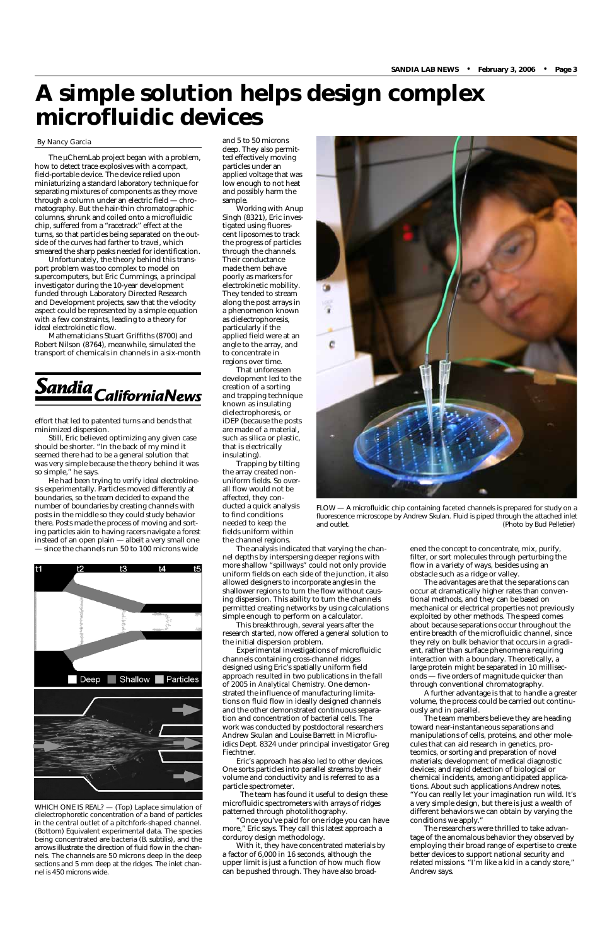The µChemLab project began with a problem, how to detect trace explosives with a compact, field-portable device. The device relied upon miniaturizing a standard laboratory technique for separating mixtures of components as they move through a column under an electric field — chromatography. But the hair-thin chromatographic columns, shrunk and coiled onto a microfluidic chip, suffered from a "racetrack" effect at the turns, so that particles being separated on the outside of the curves had farther to travel, which smeared the sharp peaks needed for identification.

Unfortunately, the theory behind this transport problem was too complex to model on supercomputers, but Eric Cummings, a principal investigator during the 10-year development funded through Laboratory Directed Research and Development projects, saw that the velocity aspect could be represented by a simple equation with a few constraints, leading to a theory for ideal electrokinetic flow.

Mathematicians Stuart Griffiths (8700) and Robert Nilson (8764), meanwhile, simulated the transport of chemicals in channels in a six-month



effort that led to patented turns and bends that minimized dispersion.

Still, Eric believed optimizing any given case should be shorter. "In the back of my mind it seemed there had to be a general solution that was very simple because the theory behind it was so simple," he says.

He had been trying to verify ideal electrokinesis experimentally. Particles moved differently at boundaries, so the team decided to expand the number of boundaries by creating channels with posts in the middle so they could study behavior there. Posts made the process of moving and sorting particles akin to having racers navigate a forest instead of an open plain — albeit a very small one



filter, or sort molecules through perturbing the flow in a variety of ways, besides using an obstacle such as a ridge or valley.

The advantages are that the separations can occur at dramatically higher rates than conventional methods, and they can be based on mechanical or electrical properties not previously exploited by other methods. The speed comes about because separations occur throughout the entire breadth of the microfluidic channel, since they rely on bulk behavior that occurs in a gradient, rather than surface phenomena requiring interaction with a boundary. Theoretically, a large protein might be separated in 10 milliseconds — five orders of magnitude quicker than through conventional chromatography.

— since the channels run 50 to 100 microns wide The analysis indicated that varying the chan- ened the concept to concentrate, mix, purify, The analysis indicated that varying the channel depths by interspersing deeper regions with more shallow "spillways" could not only provide uniform fields on each side of the junction, it also allowed designers to incorporate angles in the shallower regions to turn the flow without causing dispersion. This ability to turn the channels permitted creating networks by using calculations simple enough to perform on a calculator.

A further advantage is that to handle a greater

volume, the process could be carried out continuously and in parallel.

The team members believe they are heading toward near-instantaneous separations and manipulations of cells, proteins, and other molecules that can aid research in genetics, proteomics, or sorting and preparation of novel materials; development of medical diagnostic devices; and rapid detection of biological or chemical incidents, among anticipated applications. About such applications Andrew notes,



FLOW — A microfluidic chip containing faceted channels is prepared for study on a fluorescence microscope by Andrew Skulan. Fluid is piped through the attached inlet (Photo by Bud Pelletier)

"You can really let your imagination run wild. It's a very simple design, but there is just a wealth of different behaviors we can obtain by varying the conditions we apply."

The researchers were thrilled to take advantage of the anomalous behavior they observed by employing their broad range of expertise to create better devices to support national security and related missions. "I'm like a kid in a candy store," Andrew says.

and 5 to 50 microns deep. They also permitted effectively moving particles under an applied voltage that was low enough to not heat and possibly harm the sample.

Working with Anup Singh (8321), Eric investigated using fluorescent liposomes to track the progress of particles through the channels. Their conductance made them behave poorly as markers for electrokinetic mobility. They tended to stream along the post arrays in a phenomenon known as dielectrophoresis, particularly if the applied field were at an angle to the array, and to concentrate in regions over time.

That unforeseen development led to the creation of a sorting and trapping technique known as insulating dielectrophoresis, or iDEP (because the posts are made of a material, such as silica or plastic, that is electrically insulating).

Trapping by tilting the array created nonuniform fields. So overall flow would not be affected, they conducted a quick analysis to find conditions needed to keep the fields uniform within the channel regions.

This breakthrough, several years after the research started, now offered a general solution to the initial dispersion problem.

Experimental investigations of microfluidic channels containing cross-channel ridges designed using Eric's spatially uniform field approach resulted in two publications in the fall of 2005 in *Analytical Chemistry*. One demonstrated the influence of manufacturing limitations on fluid flow in ideally designed channels and the other demonstrated continuous separation and concentration of bacterial cells. The work was conducted by postdoctoral researchers Andrew Skulan and Louise Barrett in Microfluidics Dept. 8324 under principal investigator Greg Fiechtner.

Eric's approach has also led to other devices. One sorts particles into parallel streams by their volume and conductivity and is referred to as a particle spectrometer.

The team has found it useful to design these microfluidic spectrometers with arrays of ridges patterned through photolithography.

"Once you've paid for one ridge you can have more," Eric says. They call this latest approach a corduroy design methodology.

With it, they have concentrated materials by a factor of 6,000 in 16 seconds, although the upper limit is just a function of how much flow can be pushed through. They have also broad-

WHICH ONE IS REAL? — (Top) Laplace simulation of dielectrophoretic concentration of a band of particles in the central outlet of a pitchfork-shaped channel. (Bottom) Equivalent experimental data. The species being concentrated are bacteria (*B. subtilis*), and the arrows illustrate the direction of fluid flow in the channels. The channels are 50 microns deep in the deep sections and 5 mm deep at the ridges. The inlet channel is 450 microns wide.

## **A simple solution helps design complex microfluidic devices**

#### By Nancy Garcia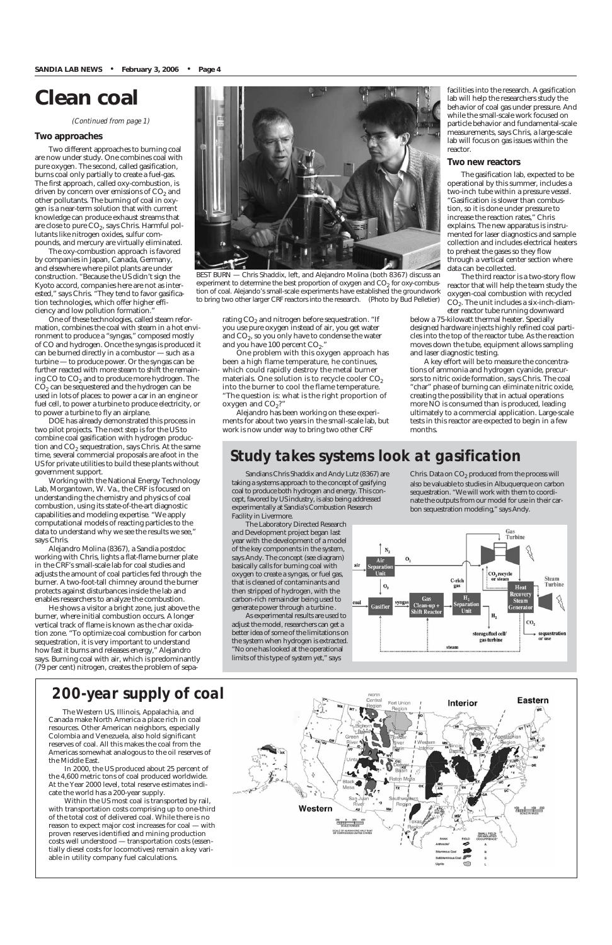## **Clean coal**

*(Continued from page 1)*

#### **Two approaches**

Two different approaches to burning coal are now under study. One combines coal with pure oxygen. The second, called gasification, burns coal only partially to create a fuel-gas. The first approach, called oxy-combustion, is driven by concern over emissions of  $CO<sub>2</sub>$  and other pollutants. The burning of coal in oxygen is a near-term solution that with current knowledge can produce exhaust streams that are close to pure  $CO<sub>2</sub>$ , says Chris. Harmful pollutants like nitrogen oxides, sulfur compounds, and mercury are virtually eliminated.

The oxy-combustion approach is favored by companies in Japan, Canada, Germany, and elsewhere where pilot plants are under construction. "Because the US didn't sign the Kyoto accord, companies here are not as interested," says Chris. "They tend to favor gasification technologies, which offer higher efficiency and low pollution formation."

One of these technologies, called steam reformation, combines the coal with steam in a hot environment to produce a "syngas," composed mostly of CO and hydrogen. Once the syngas is produced it can be burned directly in a combustor — such as a turbine — to produce power. Or the syngas can be further reacted with more steam to shift the remaining CO to CO<sub>2</sub> and to produce more hydrogen. The  $CO<sub>2</sub>$  can be sequestered and the hydrogen can be used in lots of places: to power a car in an engine or fuel cell, to power a turbine to produce electricity, or to power a turbine to fly an airplane.

One problem with this oxygen approach has been a high flame temperature, he continues, which could rapidly destroy the metal burner materials. One solution is to recycle cooler  $CO<sub>2</sub>$ into the burner to cool the flame temperature. "The question is: what is the right proportion of oxygen and  $CO<sub>2</sub>$ ?"

DOE has already demonstrated this process in two pilot projects. The next step is for the US to combine coal gasification with hydrogen production and  $CO<sub>2</sub>$  sequestration, says Chris. At the same time, several commercial proposals are afoot in the US for private utilities to build these plants without government support.

Working with the National Energy Technology Lab, Morgantown, W. Va., the CRF is focused on understanding the chemistry and physics of coal combustion, using its state-of-the-art diagnostic capabilities and modeling expertise. "We apply computational models of reacting particles to the data to understand why we see the results we see," says Chris.

Alejandro Molina (8367), a Sandia postdoc working with Chris, lights a flat-flame burner plate in the CRF's small-scale lab for coal studies and adjusts the amount of coal particles fed through the burner. A two-foot-tall chimney around the burner protects against disturbances inside the lab and enables researchers to analyze the combustion.

He shows a visitor a bright zone, just above the burner, where initial combustion occurs. A longer vertical track of flame is known as the char oxidation zone. "To optimize coal combustion for carbon sequestration, it is very important to understand how fast it burns and releases energy," Alejandro says. Burning coal with air, which is predominantly (79 per cent) nitrogen, creates the problem of sepa-

Alejandro has been working on these experiments for about two years in the small-scale lab, but work is now under way to bring two other CRF

facilities into the research. A gasification lab will help the researchers study the behavior of coal gas under pressure. And while the small-scale work focused on particle behavior and fundamental-scale measurements, says Chris, a large-scale lab will focus on gas issues within the reactor.

Chris. Data on  $CO<sub>2</sub>$  produced from the process will also be valuable to studies in Albuquerque on carbon sequestration. "We will work with them to coordinate the outputs from our model for use in their carbon sequestration modeling," says Andy.



#### **Two new reactors**

The gasification lab, expected to be operational by this summer, includes a two-inch tube within a pressure vessel. "Gasification is slower than combustion, so it is done under pressure to increase the reaction rates," Chris explains. The new apparatus is instrumented for laser diagnostics and sample collection and includes electrical heaters to preheat the gases so they flow through a vertical center section where data can be collected.

The third reactor is a two-story flow reactor that will help the team study the oxygen-coal combustion with recycled  $CO<sub>2</sub>$ . The unit includes a six-inch-diameter reactor tube running downward

below a 75-kilowatt thermal heater. Specially designed hardware injects highly refined coal particles into the top of the reactor tube. As the reaction moves down the tube, equipment allows sampling and laser diagnostic testing.

A key effort will be to measure the concentrations of ammonia and hydrogen cyanide, precursors to nitric oxide formation, says Chris. The coal "char" phase of burning can eliminate nitric oxide, creating the possibility that in actual operations more NO is consumed than is produced, leading ultimately to a commercial application. Large-scale tests in this reactor are expected to begin in a few months.



BEST BURN — Chris Shaddix, left, and Alejandro Molina (both 8367) discuss an experiment to determine the best proportion of oxygen and  $CO<sub>2</sub>$  for oxy-combustion of coal. Alejando's small-scale experiments have established the groundwork to bring two other larger CRF reactors into the research. (Photo by Bud Pelletier)

rating  $CO<sub>2</sub>$  and nitrogen before sequestration. "If you use pure oxygen instead of air, you get water and  $CO<sub>2</sub>$ , so you only have to condense the water and you have  $100$  percent  $CO<sub>2</sub>$ ."

## *200-year supply of coal*

The Western US, Illinois, Appalachia, and Canada make North America a place rich in coal resources. Other American neighbors, especially Colombia and Venezuela, also hold significant reserves of coal. All this makes the coal from the Americas somewhat analogous to the oil reserves of the Middle East.

In 2000, the US produced about 25 percent of the 4,600 metric tons of coal produced worldwide. At the Year 2000 level, total reserve estimates indicate the world has a 200-year supply.

Within the US most coal is transported by rail, with transportation costs comprising up to one-third of the total cost of delivered coal. While there is no reason to expect major cost increases for coal — with proven reserves identified and mining production costs well understood — transportation costs (essentially diesel costs for locomotives) remain a key variable in utility company fuel calculations.



## *Study takes systems look at gasification*

Sandians Chris Shaddix and Andy Lutz (8367) are taking a systems approach to the concept of gasifying coal to produce both hydrogen and energy. This concept, favored by US industry, is also being addressed experimentally at Sandia's Combustion Research Facility in Livermore.

The Laboratory Directed Research and Development project began last year with the development of a model of the key components in the system, says Andy. The concept (see diagram) basically calls for burning coal with oxygen to create a syngas, or fuel gas, that is cleaned of contaminants and then stripped of hydrogen, with the carbon-rich remainder being used to generate power through a turbine .

As experimental results are used to adjust the model, researchers can get a better idea of some of the limitations on the system when hydrogen is extracted. "No one has looked at the operational limits of this type of system yet," says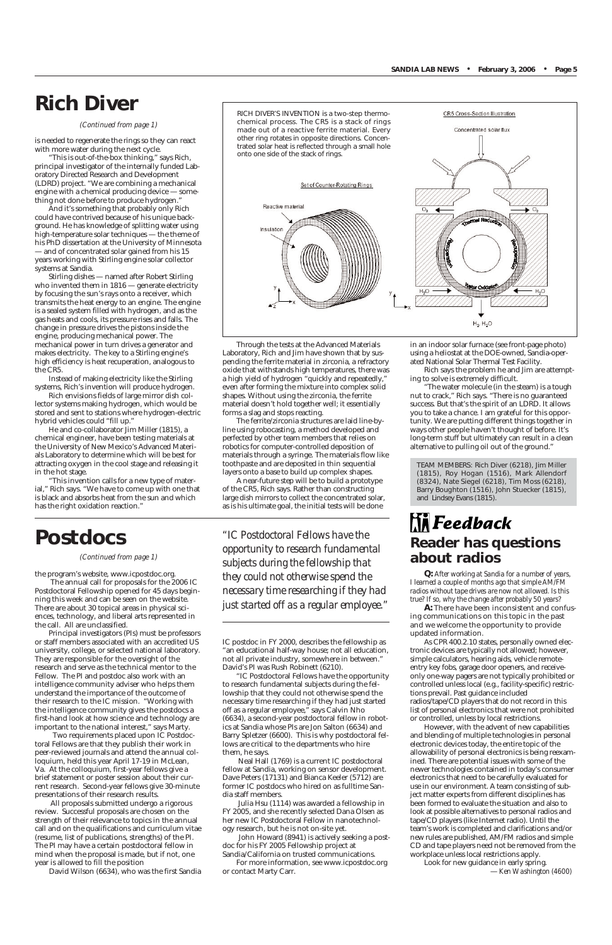Through the tests at the Advanced Materials Laboratory, Rich and Jim have shown that by suspending the ferrite material in zirconia, a refractory oxide that withstands high temperatures, there was a high yield of hydrogen "quickly and repeatedly," even after forming the mixture into complex solid shapes. Without using the zirconia, the ferrite material doesn't hold together well; it essentially forms a slag and stops reacting.

The ferrite/zirconia structures are laid line-byline using robocasting, a method developed and perfected by other team members that relies on robotics for computer-controlled deposition of materials through a syringe. The materials flow like toothpaste and are deposited in thin sequential layers onto a base to build up complex shapes.

A near-future step will be to build a prototype of the CR5, Rich says. Rather than constructing large dish mirrors to collect the concentrated solar, as is his ultimate goal, the initial tests will be done

CR5 Cross-Section Illustration

Concentrated solar flux

## **Rich Diver**

#### *(Continued from page 1)*

## **Postdocs**

the program's website, www.icpostdoc.org. The annual call for proposals for the 2006 IC Postdoctoral Fellowship opened for 45 days beginning this week and can be seen on the website. There are about 30 topical areas in physical sciences, technology, and liberal arts represented in the call. All are unclassified.

Principal investigators (PIs) must be professors or staff members associated with an accredited US university, college, or selected national laboratory. They are responsible for the oversight of the research and serve as the technical mentor to the Fellow. The PI and postdoc also work with an intelligence community adviser who helps them understand the importance of the outcome of their research to the IC mission. "Working with the intelligence community gives the postdocs a first-hand look at how science and technology are important to the national interest," says Marty. Two requirements placed upon IC Postdoctoral Fellows are that they publish their work in peer-reviewed journals and attend the annual colloquium, held this year April 17-19 in McLean, Va. At the colloquium, first-year fellows give a brief statement or poster session about their current research. Second-year fellows give 30-minute presentations of their research results. All proposals submitted undergo a rigorous review. Successful proposals are chosen on the strength of their relevance to topics in the annual call and on the qualifications and curriculum vitae (resume, list of publications, strengths) of the PI. The PI may have a certain postdoctoral fellow in mind when the proposal is made, but if not, one year is allowed to fill the position

David Wilson (6634), who was the first Sandia

IC postdoc in FY 2000, describes the fellowship as "an educational half-way house; not all education, not all private industry, somewhere in between." David's PI was Rush Robinett (6210).

## $\mathop{\text{Li}}\limits_{\text{N}}$  Feedback **Reader has questions about radios**

"IC Postdoctoral Fellows have the opportunity to research fundamental subjects during the fellowship that they could not otherwise spend the necessary time researching if they had just started off as a regular employee," says Calvin Nho (6634), a second-year postdoctoral fellow in robotics at Sandia whose PIs are Jon Salton (6634) and Barry Spletzer (6600). This is why postdoctoral fellows are critical to the departments who hire them, he says. Neal Hall (1769) is a current IC postdoctoral fellow at Sandia, working on sensor development. Dave Peters (17131) and Bianca Keeler (5712) are former IC postdocs who hired on as fulltime Sandia staff members.

Julia Hsu (1114) was awarded a fellowship in FY 2005, and she recently selected Dana Olsen as her new IC Postdoctoral Fellow in nanotechnology research, but he is not on-site yet.

John Howard (8941) is actively seeking a postdoc for his FY 2005 Fellowship project at Sandia/California on trusted communications.

For more information, see www.icpostdoc.org or contact Marty Carr.

#### *(Continued from page 1)*

*"IC Postdoctoral Fellows have the opportunity to research fundamental subjects during the fellowship that they could not otherwise spend the necessary time researching if they had just started off as a regular employee."*

*Q: After working at Sandia for a number of years, I learned a couple of months ago that simple AM/FM radios without tape drives are now not allowed. Is this true? If so, why the change after probably 50 years?*

**A:** There have been inconsistent and confusing communications on this topic in the past and we welcome the opportunity to provide updated information.

As CPR 400.2.10 states, personally owned electronic devices are typically not allowed; however, simple calculators, hearing aids, vehicle remoteentry key fobs, garage door openers, and receiveonly one-way pagers are not typically prohibited or controlled unless local (e.g., facility-specific) restrictions prevail. Past guidance included radios/tape/CD players that do not record in this list of personal electronics that were not prohibited or controlled, unless by local restrictions. However, with the advent of new capabilities and blending of multiple technologies in personal electronic devices today, the entire topic of the allowability of personal electronics is being reexamined. There are potential issues with some of the newer technologies contained in today's consumer electronics that need to be carefully evaluated for use in our environment. A team consisting of subject matter experts from different disciplines has been formed to evaluate the situation and also to look at possible alternatives to personal radios and tape/CD players (like Internet radio). Until the team's work is completed and clarifications and/or new rules are published, AM/FM radios and simple CD and tape players need not be removed from the workplace unless local restrictions apply.

Look for new guidance in early spring. — *Ken Washington (4600)*

is needed to regenerate the rings so they can react with more water during the next cycle.

"This is out-of-the-box thinking," says Rich, principal investigator of the internally funded Laboratory Directed Research and Development (LDRD) project. "We are combining a mechanical engine with a chemical producing device — something not done before to produce hydrogen."

And it's something that probably only Rich could have contrived because of his unique background. He has knowledge of splitting water using high-temperature solar techniques — the theme of his PhD dissertation at the University of Minnesota — and of concentrated solar gained from his 15 years working with Stirling engine solar collector systems at Sandia.

Stirling dishes — named after Robert Stirling who invented them in 1816 — generate electricity by focusing the sun's rays onto a receiver, which transmits the heat energy to an engine. The engine is a sealed system filled with hydrogen, and as the gas heats and cools, its pressure rises and falls. The change in pressure drives the pistons inside the engine, producing mechanical power. The mechanical power in turn drives a generator and makes electricity. The key to a Stirling engine's high efficiency is heat recuperation, analogous to the CR5.

Instead of making electricity like the Stirling systems, Rich's invention will produce hydrogen.

Rich envisions fields of large mirror dish collector systems making hydrogen, which would be stored and sent to stations where hydrogen-electric hybrid vehicles could "fill up."

He and co-collaborator Jim Miller (1815), a chemical engineer, have been testing materials at the University of New Mexico's Advanced Materials Laboratory to determine which will be best for attracting oxygen in the cool stage and releasing it in the hot stage.

"This invention calls for a new type of material," Rich says. "We have to come up with one that is black and absorbs heat from the sun and which has the right oxidation reaction."

in an indoor solar furnace (see front-page photo) using a heliostat at the DOE-owned, Sandia-operated National Solar Thermal Test Facility.

Rich says the problem he and Jim are attempting to solve is extremely difficult.

"The water molecule (in the steam) is a tough nut to crack," Rich says. "There is no guaranteed success. But that's the spirit of an LDRD. It allows you to take a chance. I am grateful for this opportunity. We are putting different things together in ways other people haven't thought of before. It's long-term stuff but ultimately can result in a clean alternative to pulling oil out of the ground."

TEAM MEMBERS: Rich Diver (6218), Jim Miller (1815), Roy Hogan (1516), Mark Allendorf (8324), Nate Siegel (6218), Tim Moss (6218), Barry Boughton (1516), John Stuecker (1815), and Lindsey Evans (1815).

RICH DIVER'S INVENTION is a two-step thermochemical process. The CR5 is a stack of rings made out of a reactive ferrite material. Every other ring rotates in opposite directions. Concentrated solar heat is reflected through a small hole onto one side of the stack of rings.

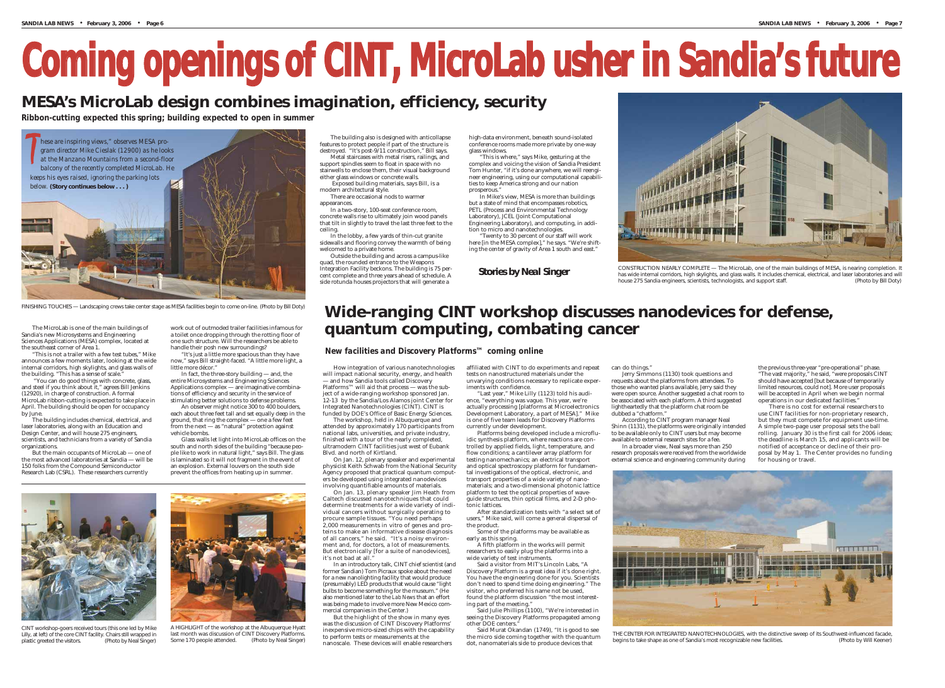# **Coming openings of CINT, MicroLab usher in Sandia's future**

# **MESA's MicroLab design combines imagination, efficiency, security**

The MicroLab is one of the main buildings of Sandia's new Microsystems and Engineering Sciences Applications (MESA) complex, located at the southeast corner of Area 1.

"This is not a trailer with a few test tubes," Mike announces a few moments later, looking at the wide internal corridors, high skylights, and glass walls of the building. "This has a sense of scale."

"You can do good things with concrete, glass, and steel if you think about it," agrees Bill Jenkins (12920), in charge of construction. A formal MicroLab ribbon-cutting is expected to take place in April. The building should be open for occupancy by June.

The building includes chemical, electrical, and laser laboratories, along with an Education and Design Center, and will house 275 engineers, scientists, and technicians from a variety of Sandia organizations.

But the main occupants of MicroLab — one of the most advanced laboratories at Sandia — will be 150 folks from the Compound Semiconductor Research Lab (CSRL). These researchers currently

How integration of various nanotechnologies will impact national security, energy, and health — and how Sandia tools called Discovery Platforms™ will aid that process — was the subject of a wide-ranging workshop sponsored Jan. 12-13 by the Sandia/Los Alamos joint Center for Integrated Nanotechnologies (CINT). CINT is funded by DOE's Office of Basic Energy Sciences.



CONSTRUCTION NEARLY COMPLETE — The MicroLab, one of the main buildings of MESA, is nearing completion. It has wide internal corridors, high skylights, and glass walls. It includes chemical, electrical, and laser laboratories and will house 275 Sandia engineers, scientists, technologists, and support staff. (Photo by Bill Doty)

The workshop, held in Albuquerque and attended by approximately 170 participants from national labs, universities, and private industry, finished with a tour of the nearly completed, ultramodern CINT facilities just west of Eubank Blvd. and north of Kirtland.

On Jan. 12, plenary speaker and experimental physicist Keith Schwab from the National Security Agency proposed that practical quantum computers be developed using integrated nanodevices involving quantifiable amounts of materials.

On Jan. 13, plenary speaker Jim Heath from Caltech discussed nanotechniques that could determine treatments for a wide variety of individual cancers without surgically operating to procure sample tissues. "You need perhaps 2,000 measurements in vitro of genes and proteins to make an informative disease diagnosis of all cancers," he said. "It's a noisy environment and, for doctors, a lot of measurements. But electronically [for a suite of nanodevices], it's not bad at all."

In an introductory talk, CINT chief scientist (and former Sandian) Tom Picraux spoke about the need for a new nanolighting facility that would produce (presumably) LED products that would cause "light bulbs to become something for the museum." (He also mentioned later to the *Lab News* that an effort was being made to involve more New Mexico commercial companies in the Center.)

But the highlight of the show in many eyes was the discussion of CINT Discovery Platforms' inexpensive micro-sized chips with the capability to perform tests or measurements at the nanoscale. These devices will enable researchers

affiliated with CINT to do experiments and repeat tests on nanostructured materials under the unvarying conditions necessary to replicate experiments with confidence.

"Last year," Mike Lilly (1123) told his audience, "everything was vague. This year, we're actually processing [platforms at Microelectronics Development Laboratory, a part of MESA]." Mike is one of five team leads for Discovery Platforms currently under development.

Platforms being developed include a microfluidic synthesis platform, where reactions are controlled by applied fields, light, temperature, and flow conditions; a cantilever array platform for testing nanomechanics; an electrical transport and optical spectroscopy platform for fundamental investigations of the optical, electronic, and transport properties of a wide variety of nanomaterials; and a two-dimensional photonic lattice platform to test the optical properties of waveguide structures, thin optical films, and 2-D photonic lattices.

After standardization tests with "a select set of users," Mike said, will come a general dispersal of the product.

the previous three-year "pre-operational" phase. "The vast majority," he said, "were proposals CINT should have accepted [but because of temporarily limited resources, could not]. More user proposals will be accepted in April when we begin normal operations in our dedicated facilities."

Some of the platforms may be available as

early as this spring.

A fifth platform in the works will permit

can do things."

researchers to easily plug the platforms into a wide variety of test instruments.

Said a visitor from MIT's Lincoln Labs, "A Discovery Platform is a great idea if it's done right. You have the engineering done for you. Scientists don't need to spend time doing engineering." The visitor, who preferred his name not be used, found the platform discussion "the most interesting part of the meeting."

Said Julie Phillips (1100), "We're interested in seeing the Discovery Platforms propagated among other DOE centers."

Said Murat Okandan (1749), "It is good to see the micro side coming together with the quantum dot, nanomaterials side to produce devices that

# **Wide-ranging CINT workshop discusses nanodevices for defense, quantum computing, combating cancer**

*Ribbon-cutting expected this spring; building expected to open in summer*

work out of outmoded trailer facilities infamous for a toilet once dropping through the rotting floor of one such structure. Will the researchers be able to handle their posh new surroundings?

"It's just a little more spacious than they have now," says Bill straight-faced. "A little more light, a little more décor."

In fact, the three-story building — and, the entire Microsystems and Engineering Sciences Applications complex — are imaginative combinations of efficiency and security in the service of stimulating better solutions to defense problems.

An observer might notice 300 to 400 boulders, each about three feet tall and set equally deep in the ground, that ring the complex — one a few feet from the next — as "natural" protection against vehicle bombs.

Glass walls let light into MicroLab offices on the south and north sides of the building "because people like to work in natural light," says Bill. The glass is laminated so it will not fragment in the event of an explosion. External louvers on the south side prevent the offices from heating up in summer.

## *New facilities and Discovery Platforms™ coming online*

The building also is designed with anticollapse features to protect people if part of the structure is destroyed. "It's post-9/11 construction," Bill says. Metal staircases with metal risers, railings, and

support spindles seem to float in space with no stairwells to enclose them, their visual background either glass windows or concrete walls.

Exposed building materials, says Bill, is a modern architectural style.

There are occasional nods to warmer appearances.

In a two-story, 100-seat conference room, concrete walls rise to ultimately join wood panels that tilt in slightly to travel the last three feet to the ceiling.

In the lobby, a few yards of thin-cut granite sidewalls and flooring convey the warmth of being welcomed to a private home.

Outside the building and across a campus-like quad, the rounded entrance to the Weapons Integration Facility beckons. The building is 75 percent complete and three years ahead of schedule. A side rotunda houses projectors that will generate a

high-data environment, beneath sound-isolated conference rooms made more private by one-way glass windows.

"This is where," says Mike, gesturing at the complex and voicing the vision of Sandia President Tom Hunter, "if it's done anywhere, we will reengineer engineering, using our computational capabilities to keep America strong and our nation prosperous."

In Mike's view, MESA is more than buildings but a state of mind that encompasses robotics, PETL (Process and Environmental Technology Laboratory), JCEL (Joint Computational Engineering Laboratory), and computing, in addition to micro and nanotechnologies. "Twenty to 30 percent of our staff will work

here [in the MESA complex]," he says. "We're shifting the center of gravity of Area 1 south and east."



FINISHING TOUCHES — Landscaping crews take center stage as MESA facilities begin to come on-line. (Photo by Bill Doty)

Jerry Simmons (1130) took questions and requests about the platforms from attendees. To those who wanted plans available, Jerry said they were open source. Another suggested a chat room to be associated with each platform. A third suggested lightheartedly that the platform chat room be dubbed a "chatform."

According to CINT program manager Neal Shinn (1131), the platforms were originally intended to be available only to CINT users but may become available to external research sites for a fee.

In a broader view, Neal says more than 250 research proposals were received from the worldwide external science and engineering community during

There is no cost for external researchers to use CINT facilities for non-proprietary research, but they must compete for equipment use-time. A simple two-page user proposal sets the ball rolling. January 30 is the first call for 2006 ideas; the deadline is March 15, and applicants will be notified of acceptance or decline of their proposal by May 1. The Center provides no funding for housing or travel.



THE CENTER FOR INTEGRATED NANOTECHNOLOGIES, with the distinctive sweep of its Southwest-influenced facade,<br>(Photo by Will Keener) (Photo by Will Keener begins to take shape as one of Sandia's most recognizable new facilities.



CINT workshop-goers received tours (this one led by Mike Lilly, at left) of the core CINT facility. Chairs still wrapped in plastic greeted the visitors. (Photo by Neal Singer)



A HIGHLIGHT of the workshop at the Albuquerque Hyatt last month was discussion of CINT Discovery Platforms. Some 170 people attended. (Photo by Neal Singer)

*Stories by Neal Singer*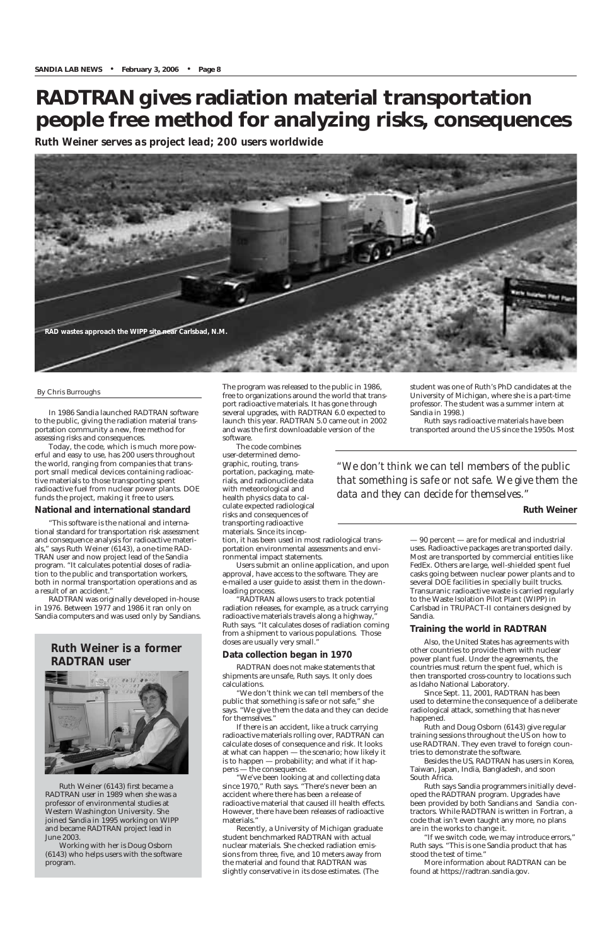In 1986 Sandia launched RADTRAN software to the public, giving the radiation material transportation community a new, free method for assessing risks and consequences.

Today, the code, which is much more powerful and easy to use, has 200 users throughout the world, ranging from companies that transport small medical devices containing radioactive materials to those transporting spent radioactive fuel from nuclear power plants. DOE funds the project, making it free to users.

#### **National and international standard**

"This software is the national and international standard for transportation risk assessment and consequence analysis for radioactive materials," says Ruth Weiner (6143), a one-time RAD-TRAN user and now project lead of the Sandia program. "It calculates potential doses of radiation to the public and transportation workers, both in normal transportation operations and as a result of an accident."

RADTRAN was originally developed in-house in 1976. Between 1977 and 1986 it ran only on Sandia computers and was used only by Sandians. The program was released to the public in 1986, free to organizations around the world that transport radioactive materials. It has gone through several upgrades, with RADTRAN 6.0 expected to launch this year. RADTRAN 5.0 came out in 2002 and was the first downloadable version of the software.

The code combines user-determined demographic, routing, transportation, packaging, materials, and radionuclide data with meteorological and health physics data to calculate expected radiological risks and consequences of transporting radioactive materials. Since its incep-

tion, it has been used in most radiological transportation environmental assessments and environmental impact statements.

Users submit an online application, and upon approval, have access to the software. They are e-mailed a user guide to assist them in the downloading process.

"RADTRAN allows users to track potential radiation releases, for example, as a truck carrying radioactive materials travels along a highway," Ruth says. "It calculates doses of radiation coming from a shipment to various populations. Those doses are usually very small."

## **Data collection began in 1970**

RADTRAN does not make statements that shipments are unsafe, Ruth says. It only does calculations.

"We don't think we can tell members of the

public that something is safe or not safe," she says. "We give them the data and they can decide for themselves."

If there is an accident, like a truck carrying radioactive materials rolling over, RADTRAN can calculate doses of consequence and risk. It looks at what can happen — the scenario; how likely it is to happen — probability; and what if it happens — the consequence.

"We've been looking at and collecting data since 1970," Ruth says. "There's never been an accident where there has been a release of radioactive material that caused ill health effects. However, there have been releases of radioactive materials."

Recently, a University of Michigan graduate student benchmarked RADTRAN with actual nuclear materials. She checked radiation emissions from three, five, and 10 meters away from the material and found that RADTRAN was slightly conservative in its dose estimates. (The

student was one of Ruth's PhD candidates at the University of Michigan, where she is a part-time professor. The student was a summer intern at Sandia in 1998.)

Ruth says radioactive materials have been transported around the US since the 1950s. Most

— 90 percent — are for medical and industrial uses. Radioactive packages are transported daily. Most are transported by commercial entities like FedEx. Others are large, well-shielded spent fuel casks going between nuclear power plants and to several DOE facilities in specially built trucks. Transuranic radioactive waste is carried regularly to the Waste Isolation Pilot Plant (WIPP) in Carlsbad in TRUPACT-II containers designed by Sandia.

### **Training the world in RADTRAN**

Also, the United States has agreements with other countries to provide them with nuclear power plant fuel. Under the agreements, the countries must return the spent fuel, which is then transported cross-country to locations such as Idaho National Laboratory.

Since Sept. 11, 2001, RADTRAN has been used to determine the consequence of a deliberate radiological attack, something that has never happened. Ruth and Doug Osborn (6143) give regular training sessions throughout the US on how to use RADTRAN. They even travel to foreign countries to demonstrate the software. Besides the US, RADTRAN has users in Korea, Taiwan, Japan, India, Bangladesh, and soon South Africa. Ruth says Sandia programmers initially developed the RADTRAN program. Upgrades have been provided by both Sandians and Sandia contractors. While RADTRAN is written in Fortran, a code that isn't even taught any more, no plans are in the works to change it. "If we switch code, we may introduce errors," Ruth says. "This is one Sandia product that has stood the test of time."

More information about RADTRAN can be found at https://radtran.sandia.gov.

## **RADTRAN gives radiation material transportation people free method for analyzing risks, consequences**

*Ruth Weiner serves as project lead; 200 users worldwide*

Ruth Weiner (6143) first became a RADTRAN user in 1989 when she was a professor of environmental studies at Western Washington University. She joined Sandia in 1995 working on WIPP and became RADTRAN project lead in June 2003.

Working with her is Doug Osborn (6143) who helps users with the software program.

## *Ruth Weiner is a former RADTRAN user*



#### By Chris Burroughs



*"We don't think we can tell members of the public that something is safe or not safe. We give them the data and they can decide for themselves."*

**Ruth Weiner**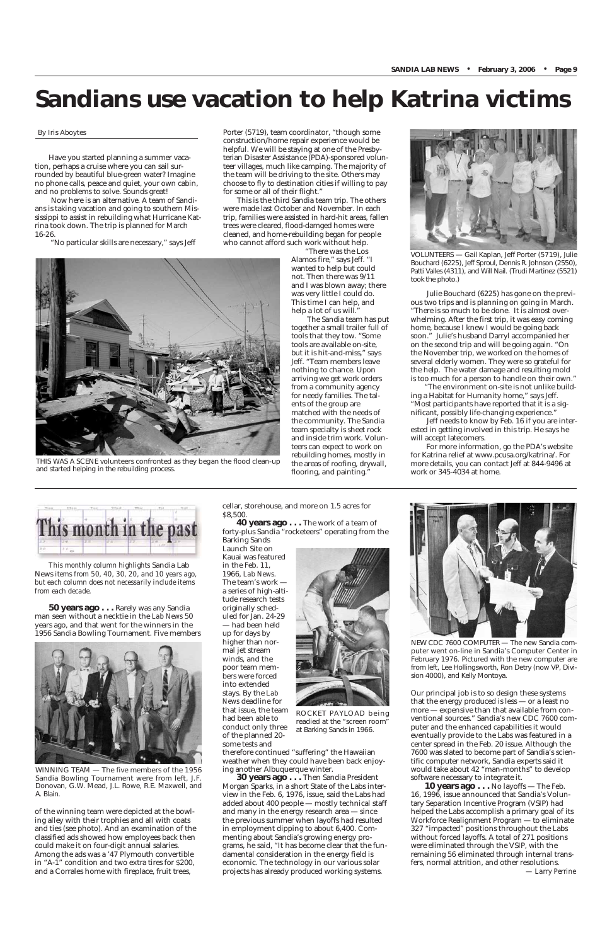# **Sandians use vacation to help Katrina victims**

Have you started planning a summer vacation, perhaps a cruise where you can sail surrounded by beautiful blue-green water? Imagine no phone calls, peace and quiet, your own cabin, and no problems to solve. Sounds great!

Now here is an alternative. A team of Sandians is taking vacation and going to southern Mississippi to assist in rebuilding what Hurricane Katrina took down. The trip is planned for March 16-26.

"No particular skills are necessary," says Jeff

"There was the Los Alamos fire," says Jeff. "I wanted to help but could not. Then there was 9/11 and I was blown away; there was very little I could do. This time I can help, and help a lot of us will."

The Sandia team has put together a small trailer full of tools that they tow. "Some tools are available on-site, but it is hit-and-miss," says Jeff. "Team members leave nothing to chance. Upon arriving we get work orders from a community agency for needy families. The talents of the group are matched with the needs of the community. The Sandia team specialty is sheet rock and inside trim work. Volunteers can expect to work on rebuilding homes, mostly in the areas of roofing, drywall, flooring, and painting.

Porter (5719), team coordinator, "though some construction/home repair experience would be helpful. We will be staying at one of the Presbyterian Disaster Assistance (PDA)-sponsored volunteer villages, much like camping. The majority of the team will be driving to the site. Others may choose to fly to destination cities if willing to pay for some or all of their flight."

This is the third Sandia team trip. The others were made last October and November. In each trip, families were assisted in hard-hit areas, fallen trees were cleared, flood-damged homes were cleaned, and home-rebuilding began for people who cannot afford such work without help.

> Julie Bouchard (6225) has gone on the previous two trips and is planning on going in March. "There is so much to be done. It is almost overwhelming. After the first trip, it was easy coming home, because I knew I would be going back soon." Julie's husband Darryl accompanied her on the second trip and will be going again. "On the November trip, we worked on the homes of several elderly women. They were so grateful for the help. The water damage and resulting mold is too much for a person to handle on their own."

> "The environment on-site is not unlike building a Habitat for Humanity home," says Jeff. "Most participants have reported that it is a significant, possibly life-changing experience."

Jeff needs to know by Feb. 16 if you are interested in getting involved in this trip. He says he will accept latecomers.

For more information, go the PDA's website for Katrina relief at www.pcusa.org/katrina/. For more details, you can contact Jeff at 844-9496 at work or 345-4034 at home.

*This monthly column highlights* Sandia Lab News *items from 50, 40, 30, 20, and 10 years ago, but each column does not necessarily include items from each decade.*

**50 years ago . . .** Rarely was any Sandia man seen without a necktie in the *Lab News* 50 years ago, and that went for the winners in the 1956 Sandia Bowling Tournament. Five members



of the winning team were depicted at the bowling alley with their trophies and all with coats and ties (see photo). And an examination of the classified ads showed how employees back then could make it on four-digit annual salaries. Among the ads was a '47 Plymouth convertible in "A-1" condition and two extra tires for \$200, and a Corrales home with fireplace, fruit trees,

cellar, storehouse, and more on 1.5 acres for \$8,500.

**40 years ago . . .** The work of a team of forty-plus Sandia "rocketeers" operating from the Barking Sands

Launch Site on Kauai was featured in the Feb. 11, 1966, *Lab News*. The team's work a series of high-altitude research tests originally scheduled for Jan. 24-29 — had been held up for days by higher than normal jet stream winds, and the poor team members were forced into extended



stays. By the *Lab News* deadline for that issue, the team had been able to conduct only three of the planned 20 some tests and

therefore continued "suffering" the Hawaiian weather when they could have been back enjoying another Albuquerque winter.

**30 years ago . . .** Then Sandia President Morgan Sparks, in a short State of the Labs interview in the Feb. 6, 1976, issue, said the Labs had added about 400 people — mostly technical staff and many in the energy research area — since the previous summer when layoffs had resulted in employment dipping to about 6,400. Commenting about Sandia's growing energy programs, he said, "It has become clear that the fundamental consideration in the energy field is economic. The technology in our various solar projects has already produced working systems.

Our principal job is to so design these systems that the energy produced is less — or a least no more — expensive than that available from conventional sources." Sandia's new CDC 7600 computer and the enhanced capabilities it would eventually provide to the Labs was featured in a center spread in the Feb. 20 issue. Although the 7600 was slated to become part of Sandia's scientific computer network, Sandia experts said it would take about 42 "man-months" to develop software necessary to integrate it. **10 years ago . . .** No layoffs — The Feb. 16, 1996, issue announced that Sandia's Voluntary Separation Incentive Program (VSIP) had helped the Labs accomplish a primary goal of its Workforce Realignment Program — to eliminate 327 "impacted" positions throughout the Labs without forced layoffs. A total of 271 positions were eliminated through the VSIP, with the remaining 56 eliminated through internal transfers, normal attrition, and other resolutions. *— Larry Perrine*

By Iris Aboytes



THIS WAS A SCENE volunteers confronted as they began the flood clean-up and started helping in the rebuilding process.



WINNING TEAM — The five members of the 1956 Sandia Bowling Tournament were from left, J.F. Donovan, G.W. Mead, J.L. Rowe, R.E. Maxwell, and A. Blain.

ROCKET PAYLOAD being readied at the "screen room" at Barking Sands in 1966.



NEW CDC 7600 COMPUTER — The new Sandia computer went on-line in Sandia's Computer Center in February 1976. Pictured with the new computer are from left, Lee Hollingsworth, Ron Detry (now VP, Division 4000), and Kelly Montoya.



VOLUNTEERS — Gail Kaplan, Jeff Porter (5719), Julie Bouchard (6225), Jeff Sproul, Dennis R. Johnson (2550), Patti Valles (4311), and Will Nail. (Trudi Martinez (5521) took the photo.)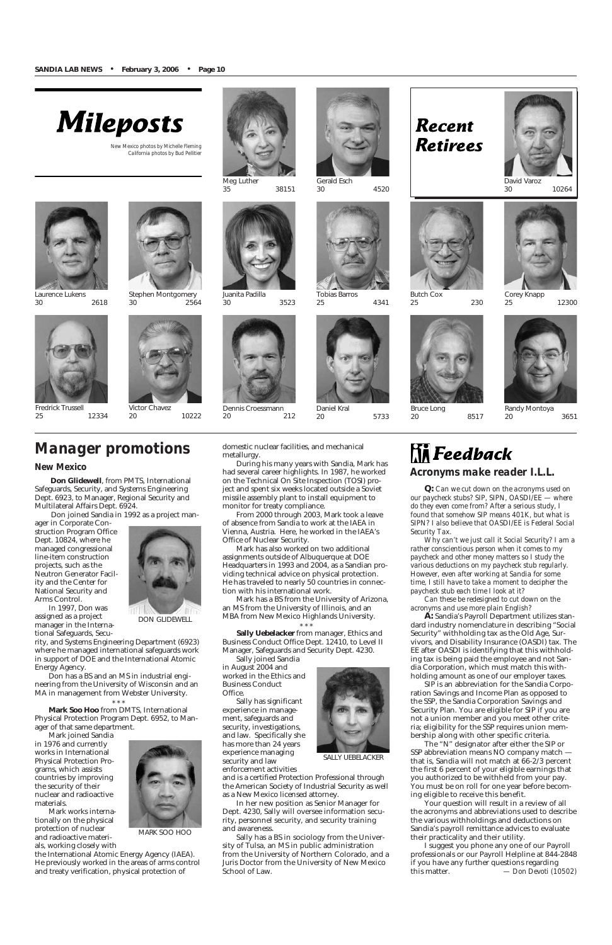

Tobias Barros 25 4341

Butch Cox

25 230





Meg Luther<br>35 35 38151

*New Mexico photos by Michelle Fleming California photos by Bud Pellitier*



Laurence Lukens 30 2618

Juanita Padilla

30 3523



Randy Montoya 20 3651



Stephen Montgomery 30 2564





Corey Knapp 25 12300



Fredrick Trussell 25 12334



Victor Chavez 20 10222

Bruce Long

20 8517



30 10264

Dennis Croessmann 20 212





Daniel Kral 20 5733

# **Recent Retirees**

#### *New Mexico*

**Don Glidewell**, from PMTS, International Safeguards, Security, and Systems Engineering Dept. 6923, to Manager, Regional Security and Multilateral Affairs Dept. 6924.

Don joined Sandia in 1992 as a project man-

ager in Corporate Construction Program Office Dept. 10824, where he managed congressional line-item construction projects, such as the Neutron Generator Facility and the Center for National Security and Arms Control. In 1997, Don was

assigned as a project manager in the Interna-

tional Safeguards, Security, and Systems Engineering Department (6923) where he managed international safeguards work in support of DOE and the International Atomic Energy Agency.

Don has a BS and an MS in industrial engineering from the University of Wisconsin and an MA in management from Webster University.

\* \* \*

**Mark Soo Hoo** from DMTS, International Physical Protection Program Dept. 6952, to Manager of that same department.

Mark joined Sandia in 1976 and currently works in International Physical Protection Programs, which assists countries by improving the security of their nuclear and radioactive materials.

Mark works internationally on the physical protection of nuclear and radioactive materials, working closely with

the International Atomic Energy Agency (IAEA). He previously worked in the areas of arms control and treaty verification, physical protection of

domestic nuclear facilities, and mechanical metallurgy.

During his many years with Sandia, Mark has had several career highlights. In 1987, he worked on the Technical On Site Inspection (TOSI) project and spent six weeks located outside a Soviet missile assembly plant to install equipment to monitor for treaty compliance.

From 2000 through 2003, Mark took a leave of absence from Sandia to work at the IAEA in Vienna, Austria. Here, he worked in the IAEA's Office of Nuclear Security.

Mark has also worked on two additional assignments outside of Albuquerque at DOE Headquarters in 1993 and 2004, as a Sandian providing technical advice on physical protection. He has traveled to nearly 50 countries in connection with his international work.

Mark has a BS from the University of Arizona, an MS from the University of Illinois, and an MBA from New Mexico Highlands University.

\* \* \* **Sally Uebelacker** from manager, Ethics and Business Conduct Office Dept. 12410, to Level II Manager, Safeguards and Security Dept. 4230.

## $\mathop{\mathbb{R}^{\mathsf{R}}}}$  Feedback *Acronyms make reader I.L.L.*

Sally joined Sandia in August 2004 and worked in the Ethics and Business Conduct Office.



Sally has significant experience in management, safeguards and security, investigations, and law. Specifically she has more than 24 years experience managing security and law enforcement activities

and is a certified Protection Professional through the American Society of Industrial Security as well as a New Mexico licensed attorney.

In her new position as Senior Manager for Dept. 4230, Sally will oversee information security, personnel security, and security training and awareness.

Sally has a BS in sociology from the University of Tulsa, an MS in public administration from the University of Northern Colorado, and a Juris Doctor from the University of New Mexico School of Law.

## *Manager promotions*



DON GLIDEWELL



MARK SOO HOO

SALLY UEBELACKER

*Q: Can we cut down on the acronyms used on our paycheck stubs? SIP, SIPN, OASDI/EE — where do they even come from? After a serious study, I found that somehow SIP means 401K, but what is SIPN? I also believe that OASDI/EE is Federal Social Security Tax.*

*Why can't we just call it Social Security? I am a rather conscientious person when it comes to my paycheck and other money matters so I study the various deductions on my paycheck stub regularly. However, even after working at Sandia for some time, I still have to take a moment to decipher the paycheck stub each time I look at it?*

*Can these be redesigned to cut down on the acronyms and use more plain English?*

**A:** Sandia's Payroll Department utilizes standard industry nomenclature in describing "Social Security" withholding tax as the Old Age, Survivors, and Disability Insurance (OASDI) tax. The EE after OASDI is identifying that this withholding tax is being paid the employee and not Sandia Corporation, which must match this withholding amount as one of our employer taxes.

SIP is an abbreviation for the Sandia Corpoon Savings and Income Plan as opposed to the SSP, the Sandia Corporation Savings and Security Plan. You are eligible for SIP if you are not a union member and you meet other criteria; eligibility for the SSP requires union membership along with other specific criteria. The "N" designator after either the SIP or SSP abbreviation means NO company match that is, Sandia will not match at 66-2/3 percent the first 6 percent of your eligible earnings that you authorized to be withheld from your pay. You must be on roll for one year before becoming eligible to receive this benefit. Your question will result in a review of all the acronyms and abbreviations used to describe the various withholdings and deductions on Sandia's payroll remittance advices to evaluate their practicality and their utility. I suggest you phone any one of our Payroll professionals or our Payroll Helpline at 844-2848 if you have any further questions regarding this matter. *— Don Devoti (10502)*